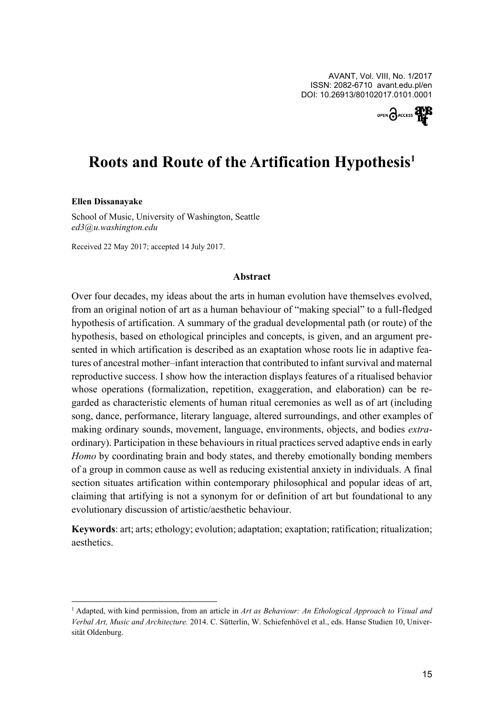

# **Roots and Route of the Artification Hypothesis<sup>1</sup>**

#### **Ellen Dissanayake**

 $\overline{a}$ 

School of Music, University of Washington, Seattle *ed3@u.washington.edu*

Received 22 May 2017; accepted 14 July 2017.

### **Abstract**

Over four decades, my ideas about the arts in human evolution have themselves evolved, from an original notion of art as a human behaviour of "making special" to a full-fledged hypothesis of artification. A summary of the gradual developmental path (or route) of the hypothesis, based on ethological principles and concepts, is given, and an argument presented in which artification is described as an exaptation whose roots lie in adaptive features of ancestral mother–infant interaction that contributed to infant survival and maternal reproductive success. I show how the interaction displays features of a ritualised behavior whose operations (formalization, repetition, exaggeration, and elaboration) can be regarded as characteristic elements of human ritual ceremonies as well as of art (including song, dance, performance, literary language, altered surroundings, and other examples of making ordinary sounds, movement, language, environments, objects, and bodies *extra*ordinary). Participation in these behaviours in ritual practices served adaptive ends in early *Homo* by coordinating brain and body states, and thereby emotionally bonding members of a group in common cause as well as reducing existential anxiety in individuals. A final section situates artification within contemporary philosophical and popular ideas of art, claiming that artifying is not a synonym for or definition of art but foundational to any evolutionary discussion of artistic/aesthetic behaviour.

**Keywords**: art; arts; ethology; evolution; adaptation; exaptation; ratification; ritualization; aesthetics.

<sup>1</sup> Adapted, with kind permission, from an article in *Art as Behaviour: An Ethological Approach to Visual and Verbal Art, Music and Architecture.* 2014. C. Sütterlin, W. Schiefenhövel et al., eds. Hanse Studien 10, Universität Oldenburg.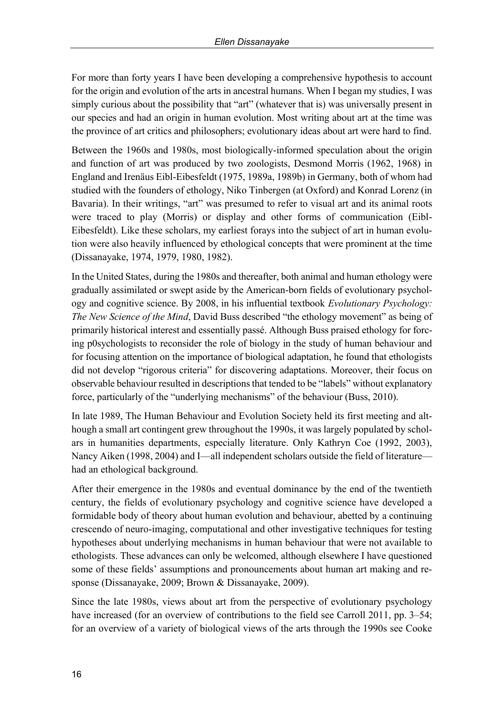For more than forty years I have been developing a comprehensive hypothesis to account for the origin and evolution of the arts in ancestral humans. When I began my studies, I was simply curious about the possibility that "art" (whatever that is) was universally present in our species and had an origin in human evolution. Most writing about art at the time was the province of art critics and philosophers; evolutionary ideas about art were hard to find.

Between the 1960s and 1980s, most biologically-informed speculation about the origin and function of art was produced by two zoologists, Desmond Morris (1962, 1968) in England and Irenäus Eibl-Eibesfeldt (1975, 1989a, 1989b) in Germany, both of whom had studied with the founders of ethology, Niko Tinbergen (at Oxford) and Konrad Lorenz (in Bavaria). In their writings, "art" was presumed to refer to visual art and its animal roots were traced to play (Morris) or display and other forms of communication (Eibl-Eibesfeldt). Like these scholars, my earliest forays into the subject of art in human evolution were also heavily influenced by ethological concepts that were prominent at the time (Dissanayake, 1974, 1979, 1980, 1982).

In the United States, during the 1980s and thereafter, both animal and human ethology were gradually assimilated or swept aside by the American-born fields of evolutionary psychology and cognitive science. By 2008, in his influential textbook *Evolutionary Psychology: The New Science of the Mind*, David Buss described "the ethology movement" as being of primarily historical interest and essentially passé. Although Buss praised ethology for forcing p0sychologists to reconsider the role of biology in the study of human behaviour and for focusing attention on the importance of biological adaptation, he found that ethologists did not develop "rigorous criteria" for discovering adaptations. Moreover, their focus on observable behaviour resulted in descriptions that tended to be "labels" without explanatory force, particularly of the "underlying mechanisms" of the behaviour (Buss, 2010).

In late 1989, The Human Behaviour and Evolution Society held its first meeting and although a small art contingent grew throughout the 1990s, it was largely populated by scholars in humanities departments, especially literature. Only Kathryn Coe (1992, 2003), Nancy Aiken (1998, 2004) and I—all independent scholars outside the field of literature had an ethological background.

After their emergence in the 1980s and eventual dominance by the end of the twentieth century, the fields of evolutionary psychology and cognitive science have developed a formidable body of theory about human evolution and behaviour, abetted by a continuing crescendo of neuro-imaging, computational and other investigative techniques for testing hypotheses about underlying mechanisms in human behaviour that were not available to ethologists. These advances can only be welcomed, although elsewhere I have questioned some of these fields' assumptions and pronouncements about human art making and response (Dissanayake, 2009; Brown & Dissanayake, 2009).

Since the late 1980s, views about art from the perspective of evolutionary psychology have increased (for an overview of contributions to the field see Carroll 2011, pp. 3–54; for an overview of a variety of biological views of the arts through the 1990s see Cooke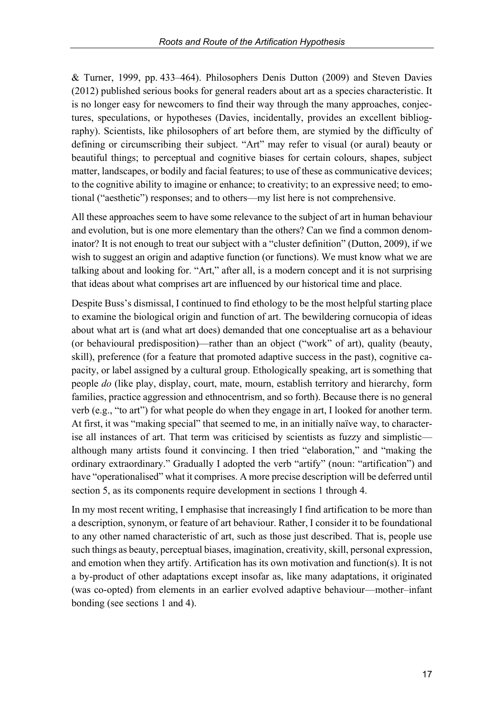& Turner, 1999, pp. 433–464). Philosophers Denis Dutton (2009) and Steven Davies (2012) published serious books for general readers about art as a species characteristic. It is no longer easy for newcomers to find their way through the many approaches, conjectures, speculations, or hypotheses (Davies, incidentally, provides an excellent bibliography). Scientists, like philosophers of art before them, are stymied by the difficulty of defining or circumscribing their subject. "Art" may refer to visual (or aural) beauty or beautiful things; to perceptual and cognitive biases for certain colours, shapes, subject matter, landscapes, or bodily and facial features; to use of these as communicative devices; to the cognitive ability to imagine or enhance; to creativity; to an expressive need; to emotional ("aesthetic") responses; and to others—my list here is not comprehensive.

All these approaches seem to have some relevance to the subject of art in human behaviour and evolution, but is one more elementary than the others? Can we find a common denominator? It is not enough to treat our subject with a "cluster definition" (Dutton, 2009), if we wish to suggest an origin and adaptive function (or functions). We must know what we are talking about and looking for. "Art," after all, is a modern concept and it is not surprising that ideas about what comprises art are influenced by our historical time and place.

Despite Buss's dismissal, I continued to find ethology to be the most helpful starting place to examine the biological origin and function of art. The bewildering cornucopia of ideas about what art is (and what art does) demanded that one conceptualise art as a behaviour (or behavioural predisposition)—rather than an object ("work" of art), quality (beauty, skill), preference (for a feature that promoted adaptive success in the past), cognitive capacity, or label assigned by a cultural group. Ethologically speaking, art is something that people *do* (like play, display, court, mate, mourn, establish territory and hierarchy, form families, practice aggression and ethnocentrism, and so forth). Because there is no general verb (e.g., "to art") for what people do when they engage in art, I looked for another term. At first, it was "making special" that seemed to me, in an initially naïve way, to characterise all instances of art. That term was criticised by scientists as fuzzy and simplistic although many artists found it convincing. I then tried "elaboration," and "making the ordinary extraordinary." Gradually I adopted the verb "artify" (noun: "artification") and have "operationalised" what it comprises. A more precise description will be deferred until section 5, as its components require development in sections 1 through 4.

In my most recent writing, I emphasise that increasingly I find artification to be more than a description, synonym, or feature of art behaviour. Rather, I consider it to be foundational to any other named characteristic of art, such as those just described. That is, people use such things as beauty, perceptual biases, imagination, creativity, skill, personal expression, and emotion when they artify. Artification has its own motivation and function(s). It is not a by-product of other adaptations except insofar as, like many adaptations, it originated (was co-opted) from elements in an earlier evolved adaptive behaviour—mother–infant bonding (see sections 1 and 4).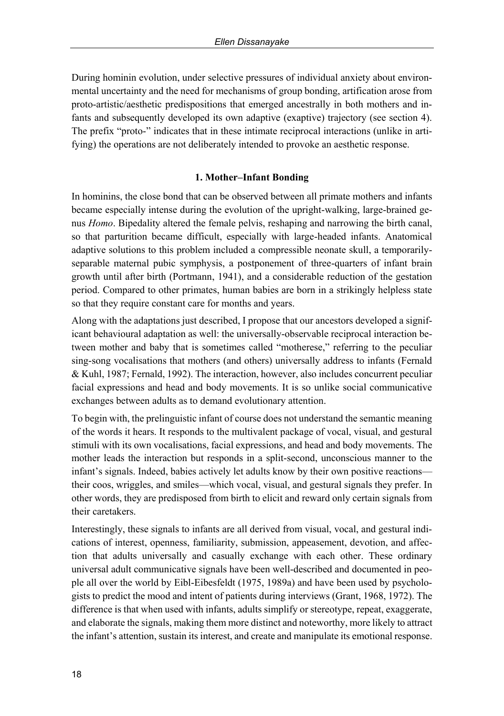During hominin evolution, under selective pressures of individual anxiety about environmental uncertainty and the need for mechanisms of group bonding, artification arose from proto-artistic/aesthetic predispositions that emerged ancestrally in both mothers and infants and subsequently developed its own adaptive (exaptive) trajectory (see section 4). The prefix "proto-" indicates that in these intimate reciprocal interactions (unlike in artifying) the operations are not deliberately intended to provoke an aesthetic response.

### **1. Mother–Infant Bonding**

In hominins, the close bond that can be observed between all primate mothers and infants became especially intense during the evolution of the upright-walking, large-brained genus *Homo*. Bipedality altered the female pelvis, reshaping and narrowing the birth canal, so that parturition became difficult, especially with large-headed infants. Anatomical adaptive solutions to this problem included a compressible neonate skull, a temporarilyseparable maternal pubic symphysis, a postponement of three-quarters of infant brain growth until after birth (Portmann, 1941), and a considerable reduction of the gestation period. Compared to other primates, human babies are born in a strikingly helpless state so that they require constant care for months and years.

Along with the adaptations just described, I propose that our ancestors developed a significant behavioural adaptation as well: the universally-observable reciprocal interaction between mother and baby that is sometimes called "motherese," referring to the peculiar sing-song vocalisations that mothers (and others) universally address to infants (Fernald & Kuhl, 1987; Fernald, 1992). The interaction, however, also includes concurrent peculiar facial expressions and head and body movements. It is so unlike social communicative exchanges between adults as to demand evolutionary attention.

To begin with, the prelinguistic infant of course does not understand the semantic meaning of the words it hears. It responds to the multivalent package of vocal, visual, and gestural stimuli with its own vocalisations, facial expressions, and head and body movements. The mother leads the interaction but responds in a split-second, unconscious manner to the infant's signals. Indeed, babies actively let adults know by their own positive reactions their coos, wriggles, and smiles—which vocal, visual, and gestural signals they prefer. In other words, they are predisposed from birth to elicit and reward only certain signals from their caretakers.

Interestingly, these signals to infants are all derived from visual, vocal, and gestural indications of interest, openness, familiarity, submission, appeasement, devotion, and affection that adults universally and casually exchange with each other. These ordinary universal adult communicative signals have been well-described and documented in people all over the world by Eibl-Eibesfeldt (1975, 1989a) and have been used by psychologists to predict the mood and intent of patients during interviews (Grant, 1968, 1972). The difference is that when used with infants, adults simplify or stereotype, repeat, exaggerate, and elaborate the signals, making them more distinct and noteworthy, more likely to attract the infant's attention, sustain its interest, and create and manipulate its emotional response.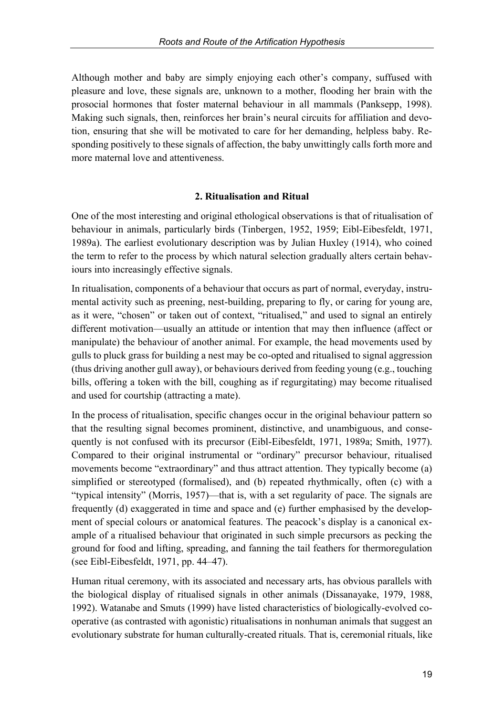Although mother and baby are simply enjoying each other's company, suffused with pleasure and love, these signals are, unknown to a mother, flooding her brain with the prosocial hormones that foster maternal behaviour in all mammals (Panksepp, 1998). Making such signals, then, reinforces her brain's neural circuits for affiliation and devotion, ensuring that she will be motivated to care for her demanding, helpless baby. Responding positively to these signals of affection, the baby unwittingly calls forth more and more maternal love and attentiveness.

# **2. Ritualisation and Ritual**

One of the most interesting and original ethological observations is that of ritualisation of behaviour in animals, particularly birds (Tinbergen, 1952, 1959; Eibl-Eibesfeldt, 1971, 1989a). The earliest evolutionary description was by Julian Huxley (1914), who coined the term to refer to the process by which natural selection gradually alters certain behaviours into increasingly effective signals.

In ritualisation, components of a behaviour that occurs as part of normal, everyday, instrumental activity such as preening, nest-building, preparing to fly, or caring for young are, as it were, "chosen" or taken out of context, "ritualised," and used to signal an entirely different motivation—usually an attitude or intention that may then influence (affect or manipulate) the behaviour of another animal. For example, the head movements used by gulls to pluck grass for building a nest may be co-opted and ritualised to signal aggression (thus driving another gull away), or behaviours derived from feeding young (e.g., touching bills, offering a token with the bill, coughing as if regurgitating) may become ritualised and used for courtship (attracting a mate).

In the process of ritualisation, specific changes occur in the original behaviour pattern so that the resulting signal becomes prominent, distinctive, and unambiguous, and consequently is not confused with its precursor (Eibl-Eibesfeldt, 1971, 1989a; Smith, 1977). Compared to their original instrumental or "ordinary" precursor behaviour, ritualised movements become "extraordinary" and thus attract attention. They typically become (a) simplified or stereotyped (formalised), and (b) repeated rhythmically, often (c) with a "typical intensity" (Morris, 1957)—that is, with a set regularity of pace. The signals are frequently (d) exaggerated in time and space and (e) further emphasised by the development of special colours or anatomical features. The peacock's display is a canonical example of a ritualised behaviour that originated in such simple precursors as pecking the ground for food and lifting, spreading, and fanning the tail feathers for thermoregulation (see Eibl-Eibesfeldt, 1971, pp. 44–47).

Human ritual ceremony, with its associated and necessary arts, has obvious parallels with the biological display of ritualised signals in other animals (Dissanayake, 1979, 1988, 1992). Watanabe and Smuts (1999) have listed characteristics of biologically-evolved cooperative (as contrasted with agonistic) ritualisations in nonhuman animals that suggest an evolutionary substrate for human culturally-created rituals. That is, ceremonial rituals, like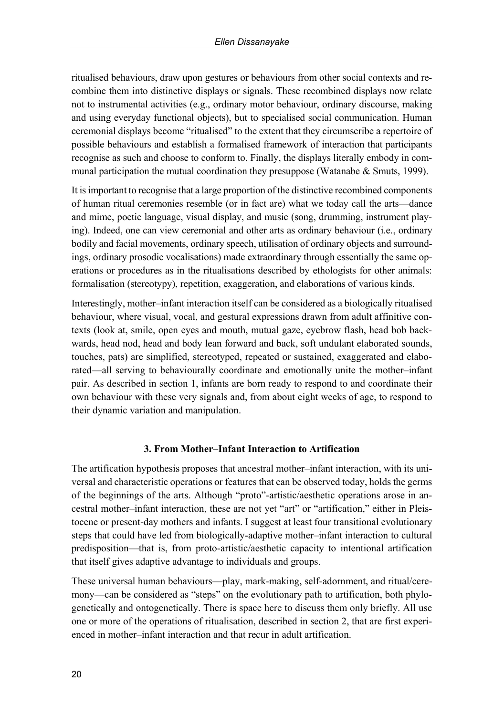ritualised behaviours, draw upon gestures or behaviours from other social contexts and recombine them into distinctive displays or signals. These recombined displays now relate not to instrumental activities (e.g., ordinary motor behaviour, ordinary discourse, making and using everyday functional objects), but to specialised social communication. Human ceremonial displays become "ritualised" to the extent that they circumscribe a repertoire of possible behaviours and establish a formalised framework of interaction that participants recognise as such and choose to conform to. Finally, the displays literally embody in communal participation the mutual coordination they presuppose (Watanabe & Smuts, 1999).

It is important to recognise that a large proportion of the distinctive recombined components of human ritual ceremonies resemble (or in fact are) what we today call the arts—dance and mime, poetic language, visual display, and music (song, drumming, instrument playing). Indeed, one can view ceremonial and other arts as ordinary behaviour (i.e., ordinary bodily and facial movements, ordinary speech, utilisation of ordinary objects and surroundings, ordinary prosodic vocalisations) made extraordinary through essentially the same operations or procedures as in the ritualisations described by ethologists for other animals: formalisation (stereotypy), repetition, exaggeration, and elaborations of various kinds.

Interestingly, mother–infant interaction itself can be considered as a biologically ritualised behaviour, where visual, vocal, and gestural expressions drawn from adult affinitive contexts (look at, smile, open eyes and mouth, mutual gaze, eyebrow flash, head bob backwards, head nod, head and body lean forward and back, soft undulant elaborated sounds, touches, pats) are simplified, stereotyped, repeated or sustained, exaggerated and elaborated—all serving to behaviourally coordinate and emotionally unite the mother–infant pair. As described in section 1, infants are born ready to respond to and coordinate their own behaviour with these very signals and, from about eight weeks of age, to respond to their dynamic variation and manipulation.

### **3. From Mother–Infant Interaction to Artification**

The artification hypothesis proposes that ancestral mother–infant interaction, with its universal and characteristic operations or features that can be observed today, holds the germs of the beginnings of the arts. Although "proto"-artistic/aesthetic operations arose in ancestral mother–infant interaction, these are not yet "art" or "artification," either in Pleistocene or present-day mothers and infants. I suggest at least four transitional evolutionary steps that could have led from biologically-adaptive mother–infant interaction to cultural predisposition—that is, from proto-artistic/aesthetic capacity to intentional artification that itself gives adaptive advantage to individuals and groups.

These universal human behaviours—play, mark-making, self-adornment, and ritual/ceremony—can be considered as "steps" on the evolutionary path to artification, both phylogenetically and ontogenetically. There is space here to discuss them only briefly. All use one or more of the operations of ritualisation, described in section 2, that are first experienced in mother–infant interaction and that recur in adult artification.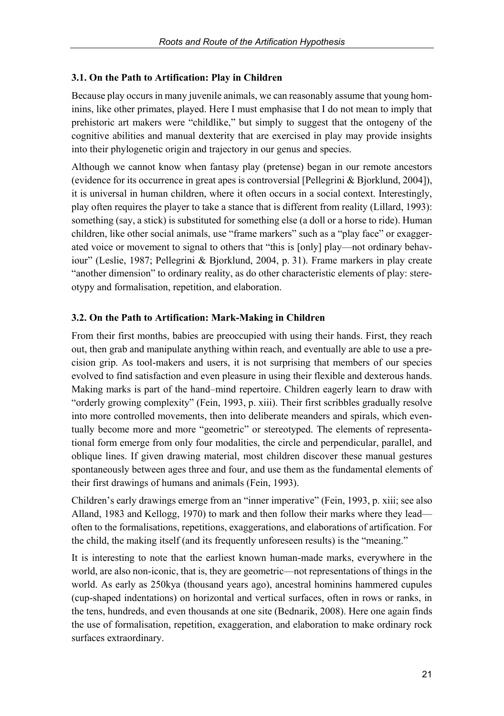### **3.1. On the Path to Artification: Play in Children**

Because play occurs in many juvenile animals, we can reasonably assume that young hominins, like other primates, played. Here I must emphasise that I do not mean to imply that prehistoric art makers were "childlike," but simply to suggest that the ontogeny of the cognitive abilities and manual dexterity that are exercised in play may provide insights into their phylogenetic origin and trajectory in our genus and species.

Although we cannot know when fantasy play (pretense) began in our remote ancestors (evidence for its occurrence in great apes is controversial [Pellegrini & Bjorklund, 2004]), it is universal in human children, where it often occurs in a social context. Interestingly, play often requires the player to take a stance that is different from reality (Lillard, 1993): something (say, a stick) is substituted for something else (a doll or a horse to ride). Human children, like other social animals, use "frame markers" such as a "play face" or exaggerated voice or movement to signal to others that "this is [only] play—not ordinary behaviour" (Leslie, 1987; Pellegrini & Bjorklund, 2004, p. 31). Frame markers in play create "another dimension" to ordinary reality, as do other characteristic elements of play: stereotypy and formalisation, repetition, and elaboration.

## **3.2. On the Path to Artification: Mark-Making in Children**

From their first months, babies are preoccupied with using their hands. First, they reach out, then grab and manipulate anything within reach, and eventually are able to use a precision grip. As tool-makers and users, it is not surprising that members of our species evolved to find satisfaction and even pleasure in using their flexible and dexterous hands. Making marks is part of the hand–mind repertoire. Children eagerly learn to draw with "orderly growing complexity" (Fein, 1993, p. xiii). Their first scribbles gradually resolve into more controlled movements, then into deliberate meanders and spirals, which eventually become more and more "geometric" or stereotyped. The elements of representational form emerge from only four modalities, the circle and perpendicular, parallel, and oblique lines. If given drawing material, most children discover these manual gestures spontaneously between ages three and four, and use them as the fundamental elements of their first drawings of humans and animals (Fein, 1993).

Children's early drawings emerge from an "inner imperative" (Fein, 1993, p. xiii; see also Alland, 1983 and Kellogg, 1970) to mark and then follow their marks where they lead often to the formalisations, repetitions, exaggerations, and elaborations of artification. For the child, the making itself (and its frequently unforeseen results) is the "meaning."

It is interesting to note that the earliest known human-made marks, everywhere in the world, are also non-iconic, that is, they are geometric—not representations of things in the world. As early as 250kya (thousand years ago), ancestral hominins hammered cupules (cup-shaped indentations) on horizontal and vertical surfaces, often in rows or ranks, in the tens, hundreds, and even thousands at one site (Bednarik, 2008). Here one again finds the use of formalisation, repetition, exaggeration, and elaboration to make ordinary rock surfaces extraordinary.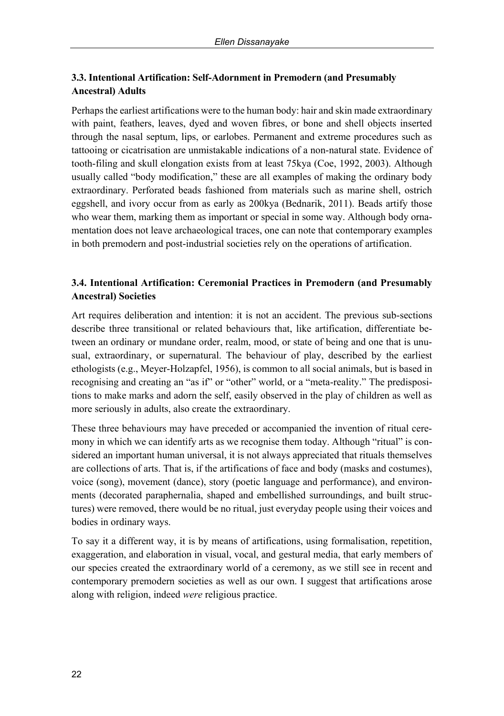# **3.3. Intentional Artification: Self-Adornment in Premodern (and Presumably Ancestral) Adults**

Perhaps the earliest artifications were to the human body: hair and skin made extraordinary with paint, feathers, leaves, dyed and woven fibres, or bone and shell objects inserted through the nasal septum, lips, or earlobes. Permanent and extreme procedures such as tattooing or cicatrisation are unmistakable indications of a non-natural state. Evidence of tooth-filing and skull elongation exists from at least 75kya (Coe, 1992, 2003). Although usually called "body modification," these are all examples of making the ordinary body extraordinary. Perforated beads fashioned from materials such as marine shell, ostrich eggshell, and ivory occur from as early as 200kya (Bednarik, 2011). Beads artify those who wear them, marking them as important or special in some way. Although body ornamentation does not leave archaeological traces, one can note that contemporary examples in both premodern and post-industrial societies rely on the operations of artification.

# **3.4. Intentional Artification: Ceremonial Practices in Premodern (and Presumably Ancestral) Societies**

Art requires deliberation and intention: it is not an accident. The previous sub-sections describe three transitional or related behaviours that, like artification, differentiate between an ordinary or mundane order, realm, mood, or state of being and one that is unusual, extraordinary, or supernatural. The behaviour of play, described by the earliest ethologists (e.g., Meyer-Holzapfel, 1956), is common to all social animals, but is based in recognising and creating an "as if" or "other" world, or a "meta-reality." The predispositions to make marks and adorn the self, easily observed in the play of children as well as more seriously in adults, also create the extraordinary.

These three behaviours may have preceded or accompanied the invention of ritual ceremony in which we can identify arts as we recognise them today. Although "ritual" is considered an important human universal, it is not always appreciated that rituals themselves are collections of arts. That is, if the artifications of face and body (masks and costumes), voice (song), movement (dance), story (poetic language and performance), and environments (decorated paraphernalia, shaped and embellished surroundings, and built structures) were removed, there would be no ritual, just everyday people using their voices and bodies in ordinary ways.

To say it a different way, it is by means of artifications, using formalisation, repetition, exaggeration, and elaboration in visual, vocal, and gestural media, that early members of our species created the extraordinary world of a ceremony, as we still see in recent and contemporary premodern societies as well as our own. I suggest that artifications arose along with religion, indeed *were* religious practice.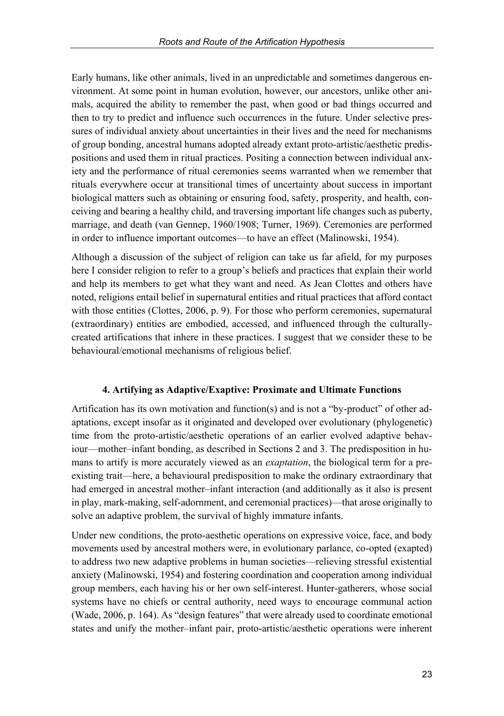Early humans, like other animals, lived in an unpredictable and sometimes dangerous environment. At some point in human evolution, however, our ancestors, unlike other animals, acquired the ability to remember the past, when good or bad things occurred and then to try to predict and influence such occurrences in the future. Under selective pressures of individual anxiety about uncertainties in their lives and the need for mechanisms of group bonding, ancestral humans adopted already extant proto-artistic/aesthetic predispositions and used them in ritual practices. Positing a connection between individual anxiety and the performance of ritual ceremonies seems warranted when we remember that rituals everywhere occur at transitional times of uncertainty about success in important biological matters such as obtaining or ensuring food, safety, prosperity, and health, conceiving and bearing a healthy child, and traversing important life changes such as puberty, marriage, and death (van Gennep, 1960/1908; Turner, 1969). Ceremonies are performed in order to influence important outcomes—to have an effect (Malinowski, 1954).

Although a discussion of the subject of religion can take us far afield, for my purposes here I consider religion to refer to a group's beliefs and practices that explain their world and help its members to get what they want and need. As Jean Clottes and others have noted, religions entail belief in supernatural entities and ritual practices that afford contact with those entities (Clottes, 2006, p. 9). For those who perform ceremonies, supernatural (extraordinary) entities are embodied, accessed, and influenced through the culturallycreated artifications that inhere in these practices. I suggest that we consider these to be behavioural/emotional mechanisms of religious belief.

### **4. Artifying as Adaptive/Exaptive: Proximate and Ultimate Functions**

Artification has its own motivation and function(s) and is not a "by-product" of other adaptations, except insofar as it originated and developed over evolutionary (phylogenetic) time from the proto-artistic/aesthetic operations of an earlier evolved adaptive behaviour—mother–infant bonding, as described in Sections 2 and 3. The predisposition in humans to artify is more accurately viewed as an *exaptation*, the biological term for a preexisting trait—here, a behavioural predisposition to make the ordinary extraordinary that had emerged in ancestral mother–infant interaction (and additionally as it also is present in play, mark-making, self-adornment, and ceremonial practices)—that arose originally to solve an adaptive problem, the survival of highly immature infants.

Under new conditions, the proto-aesthetic operations on expressive voice, face, and body movements used by ancestral mothers were, in evolutionary parlance, co-opted (exapted) to address two new adaptive problems in human societies—relieving stressful existential anxiety (Malinowski, 1954) and fostering coordination and cooperation among individual group members, each having his or her own self-interest. Hunter-gatherers, whose social systems have no chiefs or central authority, need ways to encourage communal action (Wade, 2006, p. 164). As "design features" that were already used to coordinate emotional states and unify the mother–infant pair, proto-artistic/aesthetic operations were inherent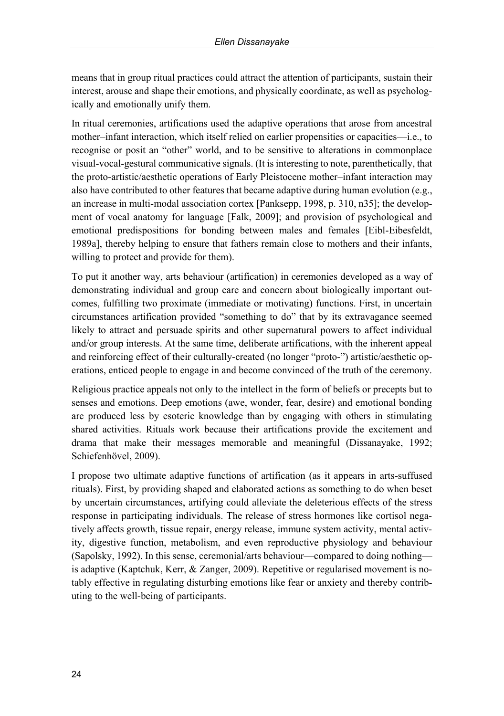means that in group ritual practices could attract the attention of participants, sustain their interest, arouse and shape their emotions, and physically coordinate, as well as psychologically and emotionally unify them.

In ritual ceremonies, artifications used the adaptive operations that arose from ancestral mother–infant interaction, which itself relied on earlier propensities or capacities—i.e., to recognise or posit an "other" world, and to be sensitive to alterations in commonplace visual-vocal-gestural communicative signals. (It is interesting to note, parenthetically, that the proto-artistic/aesthetic operations of Early Pleistocene mother–infant interaction may also have contributed to other features that became adaptive during human evolution (e.g., an increase in multi-modal association cortex [Panksepp, 1998, p. 310, n35]; the development of vocal anatomy for language [Falk, 2009]; and provision of psychological and emotional predispositions for bonding between males and females [Eibl-Eibesfeldt, 1989a], thereby helping to ensure that fathers remain close to mothers and their infants, willing to protect and provide for them).

To put it another way, arts behaviour (artification) in ceremonies developed as a way of demonstrating individual and group care and concern about biologically important outcomes, fulfilling two proximate (immediate or motivating) functions. First, in uncertain circumstances artification provided "something to do" that by its extravagance seemed likely to attract and persuade spirits and other supernatural powers to affect individual and/or group interests. At the same time, deliberate artifications, with the inherent appeal and reinforcing effect of their culturally-created (no longer "proto-") artistic/aesthetic operations, enticed people to engage in and become convinced of the truth of the ceremony.

Religious practice appeals not only to the intellect in the form of beliefs or precepts but to senses and emotions. Deep emotions (awe, wonder, fear, desire) and emotional bonding are produced less by esoteric knowledge than by engaging with others in stimulating shared activities. Rituals work because their artifications provide the excitement and drama that make their messages memorable and meaningful (Dissanayake, 1992; Schiefenhövel, 2009).

I propose two ultimate adaptive functions of artification (as it appears in arts-suffused rituals). First, by providing shaped and elaborated actions as something to do when beset by uncertain circumstances, artifying could alleviate the deleterious effects of the stress response in participating individuals. The release of stress hormones like cortisol negatively affects growth, tissue repair, energy release, immune system activity, mental activity, digestive function, metabolism, and even reproductive physiology and behaviour (Sapolsky, 1992). In this sense, ceremonial/arts behaviour—compared to doing nothing is adaptive (Kaptchuk, Kerr, & Zanger, 2009). Repetitive or regularised movement is notably effective in regulating disturbing emotions like fear or anxiety and thereby contributing to the well-being of participants.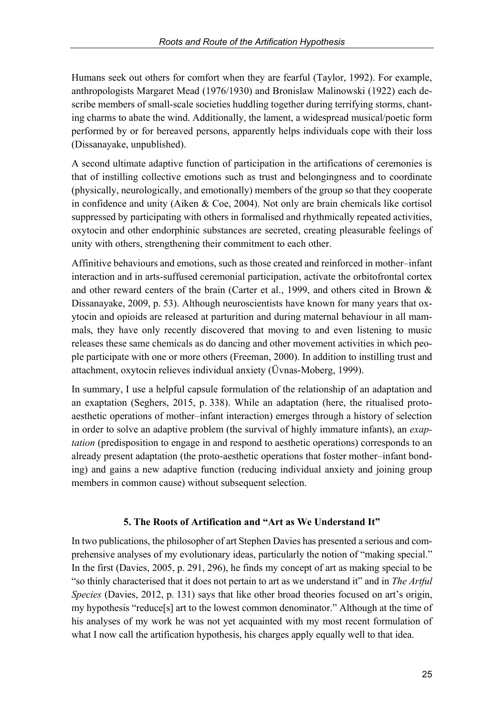Humans seek out others for comfort when they are fearful (Taylor, 1992). For example, anthropologists Margaret Mead (1976/1930) and Bronislaw Malinowski (1922) each describe members of small-scale societies huddling together during terrifying storms, chanting charms to abate the wind. Additionally, the lament, a widespread musical/poetic form performed by or for bereaved persons, apparently helps individuals cope with their loss (Dissanayake, unpublished).

A second ultimate adaptive function of participation in the artifications of ceremonies is that of instilling collective emotions such as trust and belongingness and to coordinate (physically, neurologically, and emotionally) members of the group so that they cooperate in confidence and unity (Aiken & Coe, 2004). Not only are brain chemicals like cortisol suppressed by participating with others in formalised and rhythmically repeated activities, oxytocin and other endorphinic substances are secreted, creating pleasurable feelings of unity with others, strengthening their commitment to each other.

Affinitive behaviours and emotions, such as those created and reinforced in mother–infant interaction and in arts-suffused ceremonial participation, activate the orbitofrontal cortex and other reward centers of the brain (Carter et al., 1999, and others cited in Brown & Dissanayake, 2009, p. 53). Although neuroscientists have known for many years that oxytocin and opioids are released at parturition and during maternal behaviour in all mammals, they have only recently discovered that moving to and even listening to music releases these same chemicals as do dancing and other movement activities in which people participate with one or more others (Freeman, 2000). In addition to instilling trust and attachment, oxytocin relieves individual anxiety (Üvnas-Moberg, 1999).

In summary, I use a helpful capsule formulation of the relationship of an adaptation and an exaptation (Seghers, 2015, p. 338). While an adaptation (here, the ritualised protoaesthetic operations of mother–infant interaction) emerges through a history of selection in order to solve an adaptive problem (the survival of highly immature infants), an *exaptation* (predisposition to engage in and respond to aesthetic operations) corresponds to an already present adaptation (the proto-aesthetic operations that foster mother–infant bonding) and gains a new adaptive function (reducing individual anxiety and joining group members in common cause) without subsequent selection.

# **5. The Roots of Artification and "Art as We Understand It"**

In two publications, the philosopher of art Stephen Davies has presented a serious and comprehensive analyses of my evolutionary ideas, particularly the notion of "making special." In the first (Davies, 2005, p. 291, 296), he finds my concept of art as making special to be "so thinly characterised that it does not pertain to art as we understand it" and in *The Artful Species* (Davies, 2012, p. 131) says that like other broad theories focused on art's origin, my hypothesis "reduce[s] art to the lowest common denominator." Although at the time of his analyses of my work he was not yet acquainted with my most recent formulation of what I now call the artification hypothesis, his charges apply equally well to that idea.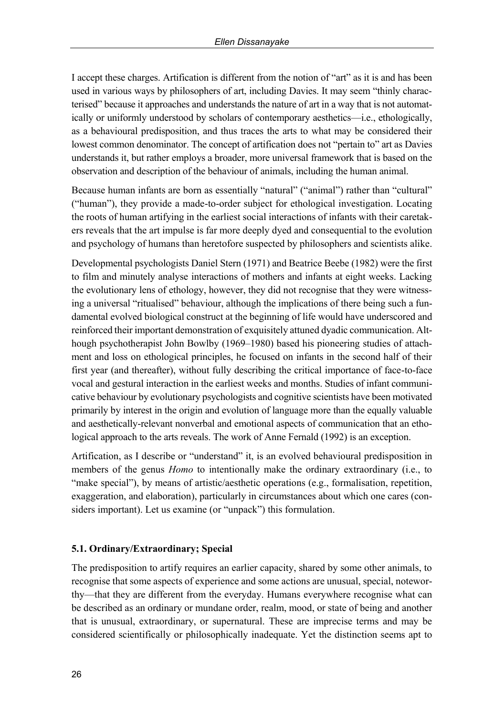I accept these charges. Artification is different from the notion of "art" as it is and has been used in various ways by philosophers of art, including Davies. It may seem "thinly characterised" because it approaches and understands the nature of art in a way that is not automatically or uniformly understood by scholars of contemporary aesthetics—i.e., ethologically, as a behavioural predisposition, and thus traces the arts to what may be considered their lowest common denominator. The concept of artification does not "pertain to" art as Davies understands it, but rather employs a broader, more universal framework that is based on the observation and description of the behaviour of animals, including the human animal.

Because human infants are born as essentially "natural" ("animal") rather than "cultural" ("human"), they provide a made-to-order subject for ethological investigation. Locating the roots of human artifying in the earliest social interactions of infants with their caretakers reveals that the art impulse is far more deeply dyed and consequential to the evolution and psychology of humans than heretofore suspected by philosophers and scientists alike.

Developmental psychologists Daniel Stern (1971) and Beatrice Beebe (1982) were the first to film and minutely analyse interactions of mothers and infants at eight weeks. Lacking the evolutionary lens of ethology, however, they did not recognise that they were witnessing a universal "ritualised" behaviour, although the implications of there being such a fundamental evolved biological construct at the beginning of life would have underscored and reinforced their important demonstration of exquisitely attuned dyadic communication. Although psychotherapist John Bowlby (1969–1980) based his pioneering studies of attachment and loss on ethological principles, he focused on infants in the second half of their first year (and thereafter), without fully describing the critical importance of face-to-face vocal and gestural interaction in the earliest weeks and months. Studies of infant communicative behaviour by evolutionary psychologists and cognitive scientists have been motivated primarily by interest in the origin and evolution of language more than the equally valuable and aesthetically-relevant nonverbal and emotional aspects of communication that an ethological approach to the arts reveals. The work of Anne Fernald (1992) is an exception.

Artification, as I describe or "understand" it, is an evolved behavioural predisposition in members of the genus *Homo* to intentionally make the ordinary extraordinary (i.e., to "make special"), by means of artistic/aesthetic operations (e.g., formalisation, repetition, exaggeration, and elaboration), particularly in circumstances about which one cares (considers important). Let us examine (or "unpack") this formulation.

### **5.1. Ordinary/Extraordinary; Special**

The predisposition to artify requires an earlier capacity, shared by some other animals, to recognise that some aspects of experience and some actions are unusual, special, noteworthy—that they are different from the everyday. Humans everywhere recognise what can be described as an ordinary or mundane order, realm, mood, or state of being and another that is unusual, extraordinary, or supernatural. These are imprecise terms and may be considered scientifically or philosophically inadequate. Yet the distinction seems apt to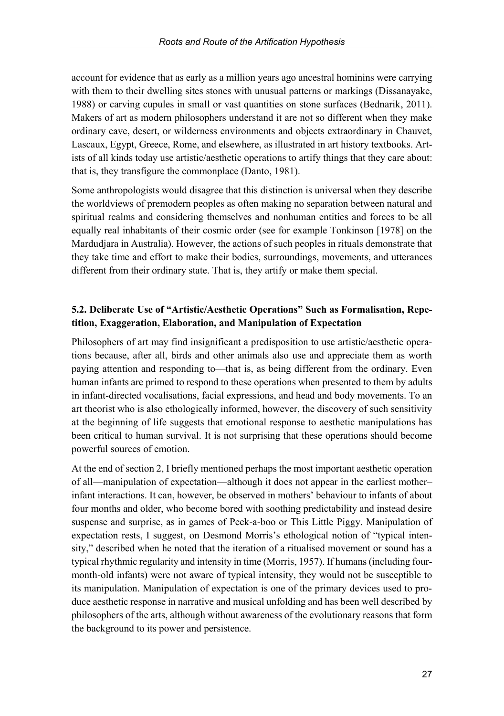account for evidence that as early as a million years ago ancestral hominins were carrying with them to their dwelling sites stones with unusual patterns or markings (Dissanayake, 1988) or carving cupules in small or vast quantities on stone surfaces (Bednarik, 2011). Makers of art as modern philosophers understand it are not so different when they make ordinary cave, desert, or wilderness environments and objects extraordinary in Chauvet, Lascaux, Egypt, Greece, Rome, and elsewhere, as illustrated in art history textbooks. Artists of all kinds today use artistic/aesthetic operations to artify things that they care about: that is, they transfigure the commonplace (Danto, 1981).

Some anthropologists would disagree that this distinction is universal when they describe the worldviews of premodern peoples as often making no separation between natural and spiritual realms and considering themselves and nonhuman entities and forces to be all equally real inhabitants of their cosmic order (see for example Tonkinson [1978] on the Mardudjara in Australia). However, the actions of such peoples in rituals demonstrate that they take time and effort to make their bodies, surroundings, movements, and utterances different from their ordinary state. That is, they artify or make them special.

# **5.2. Deliberate Use of "Artistic/Aesthetic Operations" Such as Formalisation, Repetition, Exaggeration, Elaboration, and Manipulation of Expectation**

Philosophers of art may find insignificant a predisposition to use artistic/aesthetic operations because, after all, birds and other animals also use and appreciate them as worth paying attention and responding to—that is, as being different from the ordinary. Even human infants are primed to respond to these operations when presented to them by adults in infant-directed vocalisations, facial expressions, and head and body movements. To an art theorist who is also ethologically informed, however, the discovery of such sensitivity at the beginning of life suggests that emotional response to aesthetic manipulations has been critical to human survival. It is not surprising that these operations should become powerful sources of emotion.

At the end of section 2, I briefly mentioned perhaps the most important aesthetic operation of all—manipulation of expectation—although it does not appear in the earliest mother– infant interactions. It can, however, be observed in mothers' behaviour to infants of about four months and older, who become bored with soothing predictability and instead desire suspense and surprise, as in games of Peek-a-boo or This Little Piggy. Manipulation of expectation rests, I suggest, on Desmond Morris's ethological notion of "typical intensity," described when he noted that the iteration of a ritualised movement or sound has a typical rhythmic regularity and intensity in time (Morris, 1957). If humans (including fourmonth-old infants) were not aware of typical intensity, they would not be susceptible to its manipulation. Manipulation of expectation is one of the primary devices used to produce aesthetic response in narrative and musical unfolding and has been well described by philosophers of the arts, although without awareness of the evolutionary reasons that form the background to its power and persistence.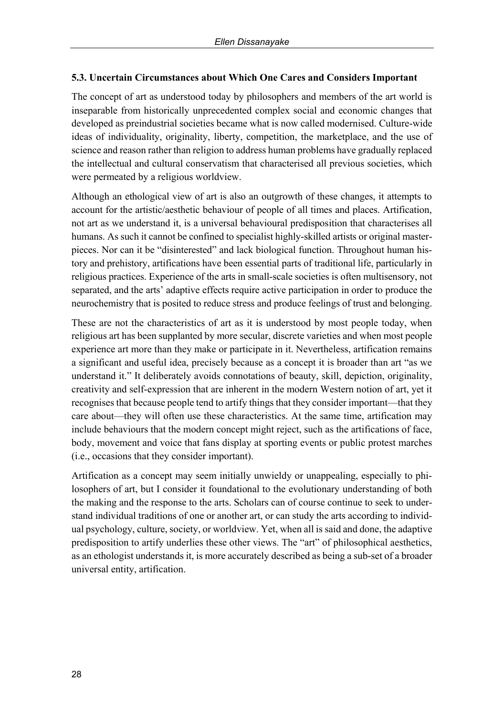# **5.3. Uncertain Circumstances about Which One Cares and Considers Important**

The concept of art as understood today by philosophers and members of the art world is inseparable from historically unprecedented complex social and economic changes that developed as preindustrial societies became what is now called modernised. Culture-wide ideas of individuality, originality, liberty, competition, the marketplace, and the use of science and reason rather than religion to address human problems have gradually replaced the intellectual and cultural conservatism that characterised all previous societies, which were permeated by a religious worldview.

Although an ethological view of art is also an outgrowth of these changes, it attempts to account for the artistic/aesthetic behaviour of people of all times and places. Artification, not art as we understand it, is a universal behavioural predisposition that characterises all humans. As such it cannot be confined to specialist highly-skilled artists or original masterpieces. Nor can it be "disinterested" and lack biological function. Throughout human history and prehistory, artifications have been essential parts of traditional life, particularly in religious practices. Experience of the arts in small-scale societies is often multisensory, not separated, and the arts' adaptive effects require active participation in order to produce the neurochemistry that is posited to reduce stress and produce feelings of trust and belonging.

These are not the characteristics of art as it is understood by most people today, when religious art has been supplanted by more secular, discrete varieties and when most people experience art more than they make or participate in it. Nevertheless, artification remains a significant and useful idea, precisely because as a concept it is broader than art "as we understand it." It deliberately avoids connotations of beauty, skill, depiction, originality, creativity and self-expression that are inherent in the modern Western notion of art, yet it recognises that because people tend to artify things that they consider important—that they care about—they will often use these characteristics. At the same time, artification may include behaviours that the modern concept might reject, such as the artifications of face, body, movement and voice that fans display at sporting events or public protest marches (i.e., occasions that they consider important).

Artification as a concept may seem initially unwieldy or unappealing, especially to philosophers of art, but I consider it foundational to the evolutionary understanding of both the making and the response to the arts. Scholars can of course continue to seek to understand individual traditions of one or another art, or can study the arts according to individual psychology, culture, society, or worldview. Yet, when all is said and done, the adaptive predisposition to artify underlies these other views. The "art" of philosophical aesthetics, as an ethologist understands it, is more accurately described as being a sub-set of a broader universal entity, artification.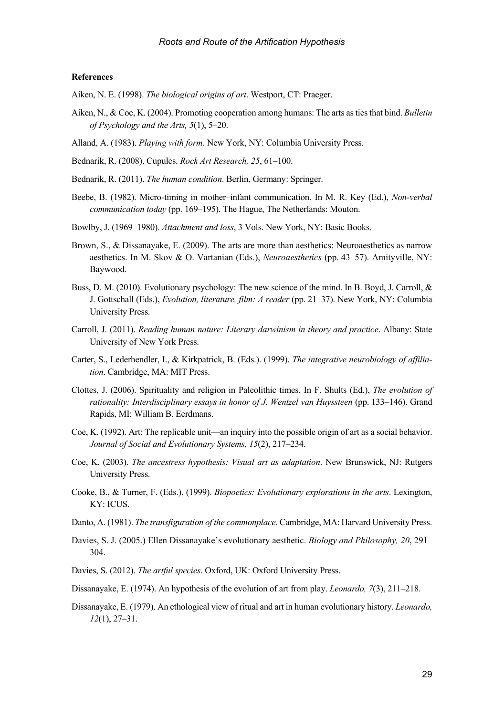### **References**

Aiken, N. E. (1998). *The biological origins of art*. Westport, CT: Praeger.

- Aiken, N., & Coe, K. (2004). Promoting cooperation among humans: The arts as ties that bind. *Bulletin of Psychology and the Arts, 5*(1), 5–20.
- Alland, A. (1983). *Playing with form*. New York, NY: Columbia University Press.
- Bednarik, R. (2008). Cupules. *Rock Art Research, 25*, 61–100.
- Bednarik, R. (2011). *The human condition*. Berlin, Germany: Springer.
- Beebe, B. (1982). Micro-timing in mother–infant communication. In M. R. Key (Ed.), *Non-verbal communication today* (pp. 169–195). The Hague, The Netherlands: Mouton.
- Bowlby, J. (1969–1980). *Attachment and loss*, 3 Vols. New York, NY: Basic Books.
- Brown, S., & Dissanayake, E. (2009). The arts are more than aesthetics: Neuroaesthetics as narrow aesthetics. In M. Skov & O. Vartanian (Eds.), *Neuroaesthetics* (pp. 43–57). Amityville, NY: Baywood.
- Buss, D. M. (2010). Evolutionary psychology: The new science of the mind. In B. Boyd, J. Carroll, & J. Gottschall (Eds.), *Evolution, literature, film: A reader* (pp. 21–37). New York, NY: Columbia University Press.
- Carroll, J. (2011). *Reading human nature: Literary darwinism in theory and practice*. Albany: State University of New York Press.
- Carter, S., Lederhendler, I., & Kirkpatrick, B. (Eds.). (1999). *The integrative neurobiology of affiliation*. Cambridge, MA: MIT Press.
- Clottes, J. (2006). Spirituality and religion in Paleolithic times. In F. Shults (Ed.), *The evolution of rationality: Interdisciplinary essays in honor of J. Wentzel van Huyssteen* (pp. 133–146). Grand Rapids, MI: William B. Eerdmans.
- Coe, K. (1992). Art: The replicable unit—an inquiry into the possible origin of art as a social behavior. *Journal of Social and Evolutionary Systems, 15*(2), 217–234.
- Coe, K. (2003). *The ancestress hypothesis: Visual art as adaptation*. New Brunswick, NJ: Rutgers University Press.
- Cooke, B., & Turner, F. (Eds.). (1999). *Biopoetics: Evolutionary explorations in the arts*. Lexington, KY: ICUS.
- Danto, A. (1981). *The transfiguration of the commonplace*. Cambridge, MA: Harvard University Press.
- Davies, S. J. (2005.) Ellen Dissanayake's evolutionary aesthetic. *Biology and Philosophy, 20*, 291– 304.
- Davies, S. (2012). *The artful species*. Oxford, UK: Oxford University Press.
- Dissanayake, E. (1974). An hypothesis of the evolution of art from play. *Leonardo, 7*(3), 211–218.
- Dissanayake, E. (1979). An ethological view of ritual and art in human evolutionary history. *Leonardo, 12*(1), 27–31.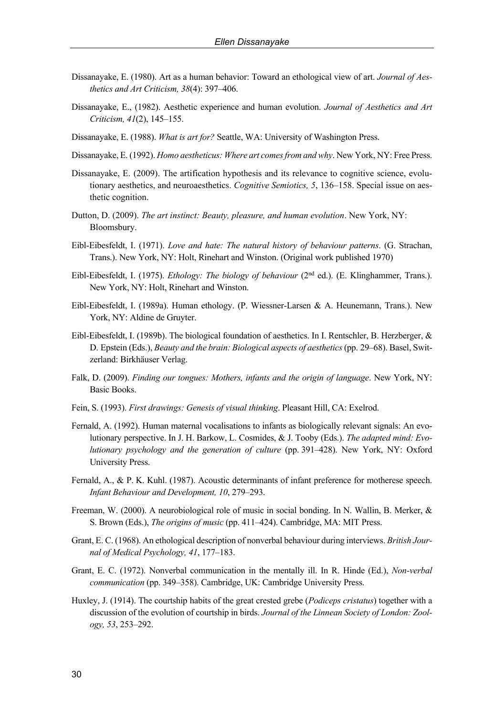- Dissanayake, E. (1980). Art as a human behavior: Toward an ethological view of art. *Journal of Aesthetics and Art Criticism, 38*(4): 397–406.
- Dissanayake, E., (1982). Aesthetic experience and human evolution. *Journal of Aesthetics and Art Criticism, 41*(2), 145–155.
- Dissanayake, E. (1988). *What is art for?* Seattle, WA: University of Washington Press.
- Dissanayake, E. (1992). *Homo aestheticus: Where art comes from and why*. New York, NY: Free Press.
- Dissanayake, E. (2009). The artification hypothesis and its relevance to cognitive science, evolutionary aesthetics, and neuroaesthetics. *Cognitive Semiotics, 5*, 136–158. Special issue on aesthetic cognition.
- Dutton, D. (2009). *The art instinct: Beauty, pleasure, and human evolution*. New York, NY: Bloomsbury.
- Eibl-Eibesfeldt, I. (1971). *Love and hate: The natural history of behaviour patterns*. (G. Strachan, Trans.). New York, NY: Holt, Rinehart and Winston. (Original work published 1970)
- Eibl-Eibesfeldt, I. (1975). *Ethology: The biology of behaviour* (2nd ed.). (E. Klinghammer, Trans.). New York, NY: Holt, Rinehart and Winston.
- Eibl-Eibesfeldt, I. (1989a). Human ethology. (P. Wiessner-Larsen & A. Heunemann, Trans.). New York, NY: Aldine de Gruyter.
- Eibl-Eibesfeldt, I. (1989b). The biological foundation of aesthetics. In I. Rentschler, B. Herzberger, & D. Epstein (Eds.), *Beauty and the brain: Biological aspects of aesthetics*(pp. 29–68). Basel, Switzerland: Birkhäuser Verlag.
- Falk, D. (2009). *Finding our tongues: Mothers, infants and the origin of language*. New York, NY: Basic Books.
- Fein, S. (1993). *First drawings: Genesis of visual thinking*. Pleasant Hill, CA: Exelrod.
- Fernald, A. (1992). Human maternal vocalisations to infants as biologically relevant signals: An evolutionary perspective. In J. H. Barkow, L. Cosmides, & J. Tooby (Eds.). *The adapted mind: Evolutionary psychology and the generation of culture* (pp. 391–428). New York, NY: Oxford University Press.
- Fernald, A., & P. K. Kuhl. (1987). Acoustic determinants of infant preference for motherese speech. *Infant Behaviour and Development, 10*, 279–293.
- Freeman, W. (2000). A neurobiological role of music in social bonding. In N. Wallin, B. Merker, & S. Brown (Eds.), *The origins of music* (pp. 411–424). Cambridge, MA: MIT Press.
- Grant, E. C. (1968). An ethological description of nonverbal behaviour during interviews. *British Journal of Medical Psychology, 41*, 177–183.
- Grant, E. C. (1972). Nonverbal communication in the mentally ill. In R. Hinde (Ed.), *Non-verbal communication* (pp. 349–358). Cambridge, UK: Cambridge University Press.
- Huxley, J. (1914). The courtship habits of the great crested grebe (*Podiceps cristatus*) together with a discussion of the evolution of courtship in birds. *Journal of the Linnean Society of London: Zoology, 53*, 253–292.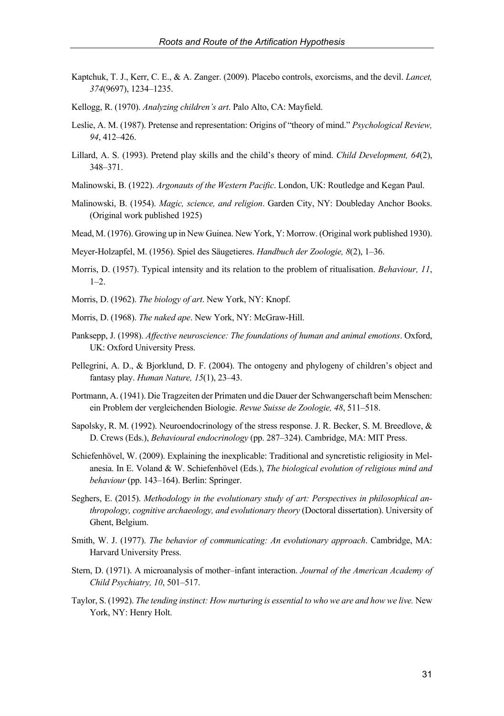- Kaptchuk, T. J., Kerr, C. E., & A. Zanger. (2009). Placebo controls, exorcisms, and the devil. *Lancet, 374*(9697), 1234–1235.
- Kellogg, R. (1970). *Analyzing children's art*. Palo Alto, CA: Mayfield.
- Leslie, A. M. (1987). Pretense and representation: Origins of "theory of mind." *Psychological Review, 94*, 412–426.
- Lillard, A. S. (1993). Pretend play skills and the child's theory of mind. *Child Development, 64*(2), 348–371.
- Malinowski, B. (1922). *Argonauts of the Western Pacific*. London, UK: Routledge and Kegan Paul.
- Malinowski, B. (1954). *Magic, science, and religion*. Garden City, NY: Doubleday Anchor Books. (Original work published 1925)
- Mead, M. (1976). Growing up in New Guinea. New York, Y: Morrow. (Original work published 1930).
- Meyer-Holzapfel, M. (1956). Spiel des Säugetieres. *Handbuch der Zoologie, 8*(2), 1–36.
- Morris, D. (1957). Typical intensity and its relation to the problem of ritualisation. *Behaviour, 11*,  $1-2.$
- Morris, D. (1962). *The biology of art*. New York, NY: Knopf.
- Morris, D. (1968). *The naked ape*. New York, NY: McGraw-Hill.
- Panksepp, J. (1998). *Affective neuroscience: The foundations of human and animal emotions*. Oxford, UK: Oxford University Press.
- Pellegrini, A. D., & Bjorklund, D. F. (2004). The ontogeny and phylogeny of children's object and fantasy play. *Human Nature, 15*(1), 23–43.
- Portmann, A. (1941). Die Tragzeiten der Primaten und die Dauer der Schwangerschaft beim Menschen: ein Problem der vergleichenden Biologie. *Revue Suisse de Zoologie, 48*, 511–518.
- Sapolsky, R. M. (1992). Neuroendocrinology of the stress response. J. R. Becker, S. M. Breedlove, & D. Crews (Eds.), *Behavioural endocrinology* (pp. 287–324). Cambridge, MA: MIT Press.
- Schiefenhövel, W. (2009). Explaining the inexplicable: Traditional and syncretistic religiosity in Melanesia. In E. Voland & W. Schiefenhövel (Eds.), *The biological evolution of religious mind and behaviour* (pp. 143–164). Berlin: Springer.
- Seghers, E. (2015). *Methodology in the evolutionary study of art: Perspectives in philosophical anthropology, cognitive archaeology, and evolutionary theory* (Doctoral dissertation). University of Ghent, Belgium.
- Smith, W. J. (1977). *The behavior of communicating: An evolutionary approach*. Cambridge, MA: Harvard University Press.
- Stern, D. (1971). A microanalysis of mother–infant interaction. *Journal of the American Academy of Child Psychiatry, 10*, 501–517.
- Taylor, S. (1992). *The tending instinct: How nurturing is essential to who we are and how we live.* New York, NY: Henry Holt.